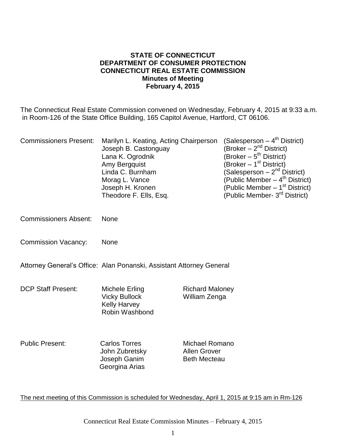#### **STATE OF CONNECTICUT DEPARTMENT OF CONSUMER PROTECTION CONNECTICUT REAL ESTATE COMMISSION Minutes of Meeting February 4, 2015**

The Connecticut Real Estate Commission convened on Wednesday, February 4, 2015 at 9:33 a.m. in Room-126 of the State Office Building, 165 Capitol Avenue, Hartford, CT 06106.

| <b>Commissioners Present:</b> | Marilyn L. Keating, Acting Chairperson<br>Joseph B. Castonguay<br>Lana K. Ogrodnik<br>Amy Bergquist<br>Linda C. Burnham<br>Morag L. Vance<br>Joseph H. Kronen<br>Theodore F. Ells, Esq. |                                                                     | (Salesperson – 4 <sup>th</sup> District)<br>(Broker $-2^{nd}$ District)<br>(Broker $-5^{th}$ District)<br>(Broker – 1 <sup>st</sup> District)<br>(Salesperson – 2 <sup>nd</sup> District)<br>(Public Member – 4 <sup>th</sup> District)<br>(Public Member $-1st$ District)<br>(Public Member- 3 <sup>rd</sup> District) |
|-------------------------------|-----------------------------------------------------------------------------------------------------------------------------------------------------------------------------------------|---------------------------------------------------------------------|-------------------------------------------------------------------------------------------------------------------------------------------------------------------------------------------------------------------------------------------------------------------------------------------------------------------------|
| <b>Commissioners Absent:</b>  | <b>None</b>                                                                                                                                                                             |                                                                     |                                                                                                                                                                                                                                                                                                                         |
| <b>Commission Vacancy:</b>    | None                                                                                                                                                                                    |                                                                     |                                                                                                                                                                                                                                                                                                                         |
|                               | Attorney General's Office: Alan Ponanski, Assistant Attorney General                                                                                                                    |                                                                     |                                                                                                                                                                                                                                                                                                                         |
| <b>DCP Staff Present:</b>     | Michele Erling<br><b>Vicky Bullock</b><br><b>Kelly Harvey</b><br><b>Robin Washbond</b>                                                                                                  | <b>Richard Maloney</b><br>William Zenga                             |                                                                                                                                                                                                                                                                                                                         |
| <b>Public Present:</b>        | <b>Carlos Torres</b><br>John Zubretsky<br>Joseph Ganim<br>Georgina Arias                                                                                                                | <b>Michael Romano</b><br><b>Allen Grover</b><br><b>Beth Mecteau</b> |                                                                                                                                                                                                                                                                                                                         |

The next meeting of this Commission is scheduled for Wednesday, April 1, 2015 at 9:15 am in Rm-126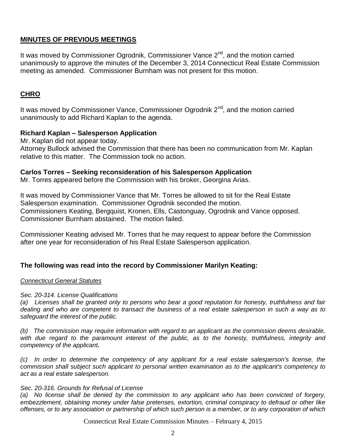## **MINUTES OF PREVIOUS MEETINGS**

It was moved by Commissioner Ogrodnik, Commissioner Vance 2<sup>nd</sup>, and the motion carried unanimously to approve the minutes of the December 3, 2014 Connecticut Real Estate Commission meeting as amended. Commissioner Burnham was not present for this motion.

## **CHRO**

It was moved by Commissioner Vance, Commissioner Ogrodnik  $2<sup>nd</sup>$ , and the motion carried unanimously to add Richard Kaplan to the agenda.

### **Richard Kaplan – Salesperson Application**

Mr. Kaplan did not appear today.

Attorney Bullock advised the Commission that there has been no communication from Mr. Kaplan relative to this matter. The Commission took no action.

### **Carlos Torres – Seeking reconsideration of his Salesperson Application**

Mr. Torres appeared before the Commission with his broker, Georgina Arias.

It was moved by Commissioner Vance that Mr. Torres be allowed to sit for the Real Estate Salesperson examination. Commissioner Ogrodnik seconded the motion. Commissioners Keating, Bergquist, Kronen, Ells, Castonguay, Ogrodnik and Vance opposed. Commissioner Burnham abstained. The motion failed.

Commissioner Keating advised Mr. Torres that he may request to appear before the Commission after one year for reconsideration of his Real Estate Salesperson application.

## **The following was read into the record by Commissioner Marilyn Keating:**

### *Connecticut General Statutes*

### *Sec. 20-314. License Qualifications*

*(a) Licenses shall be granted only to persons who bear a good reputation for honesty, truthfulness and fair dealing and who are competent to transact the business of a real estate salesperson in such a way as to safeguard the interest of the public.* 

*(b) The commission may require information with regard to an applicant as the commission deems desirable,*  with due regard to the paramount interest of the public, as to the honesty, truthfulness, integrity and *competency of the applicant.*

*(c) In order to determine the competency of any applicant for a real estate salesperson's license, the commission shall subject such applicant to personal written examination as to the applicant's competency to act as a real estate salesperson.*

#### *Sec. 20-316. Grounds for Refusal of License*

*(a) No license shall be denied by the commission to any applicant who has been convicted of forgery, embezzlement, obtaining money under false pretenses, extortion, criminal conspiracy to defraud or other like offenses, or to any association or partnership of which such person is a member, or to any corporation of which* 

Connecticut Real Estate Commission Minutes – February 4, 2015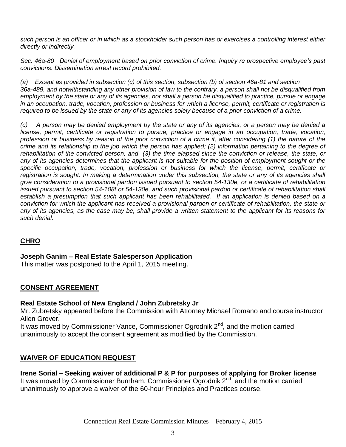*such person is an officer or in which as a stockholder such person has or exercises a controlling interest either directly or indirectly.*

*Sec. 46a-80 Denial of employment based on prior conviction of crime. Inquiry re prospective employee's past convictions. Dissemination arrest record prohibited.*

*(a) Except as provided in subsection (c) of this section, subsection (b) of section 46a-81 and section 36a-489, and notwithstanding any other provision of law to the contrary, a person shall not be disqualified from employment by the state or any of its agencies, nor shall a person be disqualified to practice, pursue or engage in an occupation, trade, vocation, profession or business for which a license, permit, certificate or registration is required to be issued by the state or any of its agencies solely because of a prior conviction of a crime.*

*(c) A person may be denied employment by the state or any of its agencies, or a person may be denied a license, permit, certificate or registration to pursue, practice or engage in an occupation, trade, vocation, profession or business by reason of the prior conviction of a crime if, after considering (1) the nature of the crime and its relationship to the job which the person has applied; (2) information pertaining to the degree of rehabilitation of the convicted person; and (3) the time elapsed since the conviction or release, the state, or*  any of its agencies determines that the applicant is not suitable for the position of employment sought or the *specific occupation, trade, vocation, profession or business for which the license, permit, certificate or*  registration is sought. In making a determination under this subsection, the state or any of its agencies shall *give consideration to a provisional pardon issued pursuant to section 54-130e, or a certificate of rehabilitation issued pursuant to section 54-108f or 54-130e, and such provisional pardon or certificate of rehabilitation shall*  establish a presumption that such applicant has been rehabilitated. If an application is denied based on a conviction for which the applicant has received a provisional pardon or certificate of rehabilitation, the state or any of its agencies, as the case may be, shall provide a written statement to the applicant for its reasons for *such denial.*

# **CHRO**

### **Joseph Ganim – Real Estate Salesperson Application**

This matter was postponed to the April 1, 2015 meeting.

## **CONSENT AGREEMENT**

### **Real Estate School of New England / John Zubretsky Jr**

Mr. Zubretsky appeared before the Commission with Attorney Michael Romano and course instructor Allen Grover.

It was moved by Commissioner Vance, Commissioner Ogrodnik  $2^{nd}$ , and the motion carried unanimously to accept the consent agreement as modified by the Commission.

## **WAIVER OF EDUCATION REQUEST**

#### **Irene Sorial – Seeking waiver of additional P & P for purposes of applying for Broker license** It was moved by Commissioner Burnham, Commissioner Ogrodnik  $2^{nd}$ , and the motion carried unanimously to approve a waiver of the 60-hour Principles and Practices course.